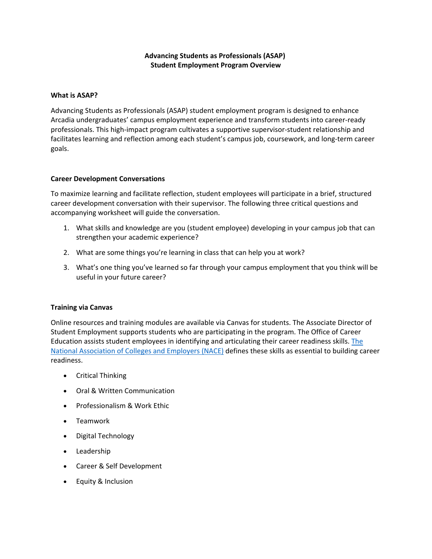## **Advancing Students as Professionals (ASAP) Student Employment Program Overview**

## **What is ASAP?**

Advancing Students as Professionals (ASAP) student employment program is designed to enhance Arcadia undergraduates' campus employment experience and transform students into career-ready professionals. This high-impact program cultivates a supportive supervisor-student relationship and facilitates learning and reflection among each student's campus job, coursework, and long-term career goals.

## **Career Development Conversations**

To maximize learning and facilitate reflection, student employees will participate in a brief, structured career development conversation with their supervisor. The following three critical questions and accompanying worksheet will guide the conversation.

- 1. What skills and knowledge are you (student employee) developing in your campus job that can strengthen your academic experience?
- 2. What are some things you're learning in class that can help you at work?
- 3. What's one thing you've learned so far through your campus employment that you think will be useful in your future career?

## **Training via Canvas**

Online resources and training modules are available via Canvas for students. The Associate Director of Student Employment supports students who are participating in the program. The Office of Career Education assists student employees in identifying and articulating their career readiness skills. [The](https://www.naceweb.org/career-readiness/competencies/career-readiness-defined/)  [National Association of Colleges and Employers \(NACE\)](https://www.naceweb.org/career-readiness/competencies/career-readiness-defined/) defines these skills as essential to building career readiness.

- Critical Thinking
- Oral & Written Communication
- Professionalism & Work Ethic
- Teamwork
- Digital Technology
- Leadership
- Career & Self Development
- Equity & Inclusion